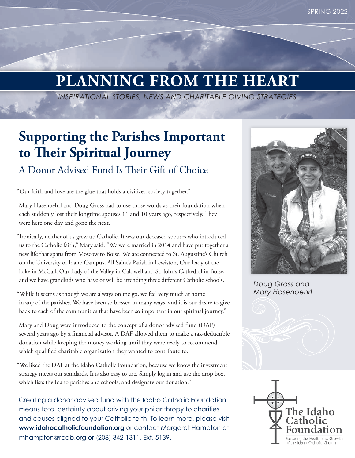# **PLANNING FROM THE HEART**

*INSPIRATIONAL STORIES, NEWS AND CHARITABLE GIVING STRATEGIES*

## **Supporting the Parishes Important to Their Spiritual Journey**

### A Donor Advised Fund Is Their Gift of Choice

"Our faith and love are the glue that holds a civilized society together."

Mary Hasenoehrl and Doug Gross had to use those words as their foundation when each suddenly lost their longtime spouses 11 and 10 years ago, respectively. They were here one day and gone the next.

"Ironically, neither of us grew up Catholic. It was our deceased spouses who introduced us to the Catholic faith," Mary said. "We were married in 2014 and have put together a new life that spans from Moscow to Boise. We are connected to St. Augustine's Church on the University of Idaho Campus, All Saint's Parish in Lewiston, Our Lady of the Lake in McCall, Our Lady of the Valley in Caldwell and St. John's Cathedral in Boise, and we have grandkids who have or will be attending three different Catholic schools.

"While it seems as though we are always on the go, we feel very much at home in any of the parishes. We have been so blessed in many ways, and it is our desire to give back to each of the communities that have been so important in our spiritual journey."

Mary and Doug were introduced to the concept of a donor advised fund (DAF) several years ago by a financial advisor. A DAF allowed them to make a tax-deductible donation while keeping the money working until they were ready to recommend which qualified charitable organization they wanted to contribute to.

"We liked the DAF at the Idaho Catholic Foundation, because we know the investment strategy meets our standards. It is also easy to use. Simply log in and use the drop box, which lists the Idaho parishes and schools, and designate our donation."

Creating a donor advised fund with the Idaho Catholic Foundation means total certainty about driving your philanthropy to charities and causes aligned to your Catholic faith. To learn more, please visit **www.idahocatholicfoundation.org** or contact Margaret Hampton at mhampton@rcdb.org or (208) 342-1311, Ext. 5139.



*Doug Gross and Mary Hasenoehrl*